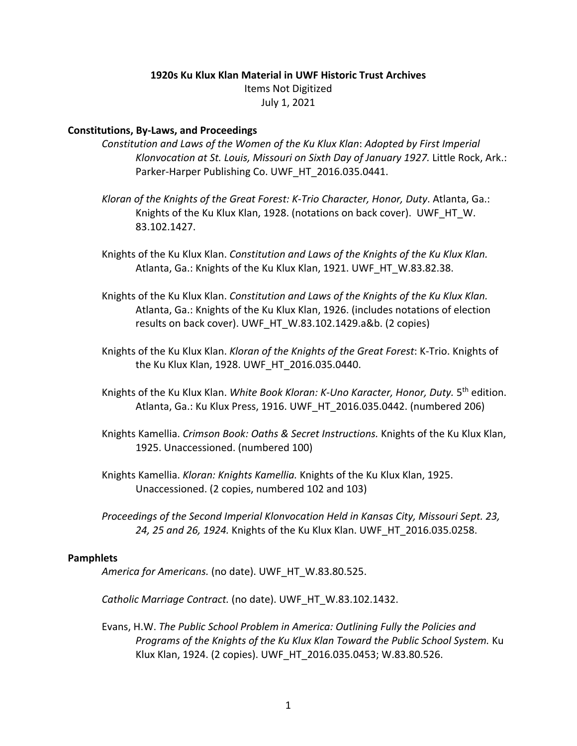### **1920s Ku Klux Klan Material in UWF Historic Trust Archives**

Items Not Digitized July 1, 2021

### **Constitutions, By-Laws, and Proceedings**

- *Constitution and Laws of the Women of the Ku Klux Klan*: *Adopted by First Imperial Klonvocation at St. Louis, Missouri on Sixth Day of January 1927.* Little Rock, Ark.: Parker-Harper Publishing Co. UWF\_HT\_2016.035.0441.
- *Kloran of the Knights of the Great Forest: K-Trio Character, Honor, Duty*. Atlanta, Ga.: Knights of the Ku Klux Klan, 1928. (notations on back cover). UWF HT W. 83.102.1427.
- Knights of the Ku Klux Klan. *Constitution and Laws of the Knights of the Ku Klux Klan.*  Atlanta, Ga.: Knights of the Ku Klux Klan, 1921. UWF\_HT\_W.83.82.38.
- Knights of the Ku Klux Klan. *Constitution and Laws of the Knights of the Ku Klux Klan.*  Atlanta, Ga.: Knights of the Ku Klux Klan, 1926. (includes notations of election results on back cover). UWF\_HT\_W.83.102.1429.a&b. (2 copies)
- Knights of the Ku Klux Klan. *Kloran of the Knights of the Great Forest*: K-Trio. Knights of the Ku Klux Klan, 1928. UWF\_HT\_2016.035.0440.
- Knights of the Ku Klux Klan. *White Book Kloran: K-Uno Karacter, Honor, Duty.* 5th edition. Atlanta, Ga.: Ku Klux Press, 1916. UWF\_HT\_2016.035.0442. (numbered 206)
- Knights Kamellia. *Crimson Book: Oaths & Secret Instructions.* Knights of the Ku Klux Klan, 1925. Unaccessioned. (numbered 100)
- Knights Kamellia. *Kloran: Knights Kamellia.* Knights of the Ku Klux Klan, 1925. Unaccessioned. (2 copies, numbered 102 and 103)
- *Proceedings of the Second Imperial Klonvocation Held in Kansas City, Missouri Sept. 23, 24, 25 and 26, 1924.* Knights of the Ku Klux Klan. UWF\_HT\_2016.035.0258.

### **Pamphlets**

*America for Americans.* (no date). UWF\_HT\_W.83.80.525.

*Catholic Marriage Contract.* (no date). UWF\_HT\_W.83.102.1432.

Evans, H.W. *The Public School Problem in America: Outlining Fully the Policies and Programs of the Knights of the Ku Klux Klan Toward the Public School System.* Ku Klux Klan, 1924. (2 copies). UWF\_HT\_2016.035.0453; W.83.80.526.